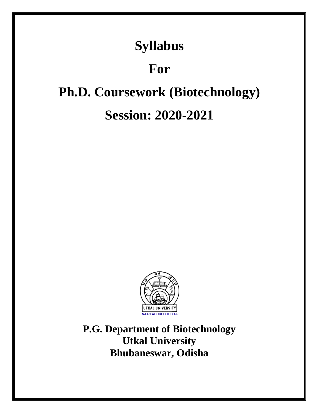## **Syllabus**

## **For**

# **Ph.D. Coursework (Biotechnology) Session: 2020-2021**



**P.G. Department of Biotechnology Utkal University Bhubaneswar, Odisha**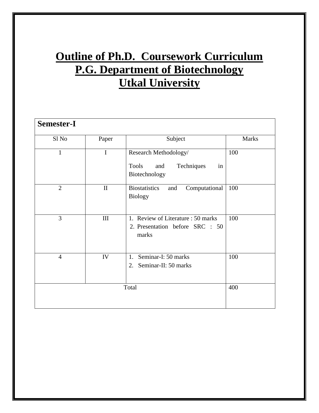## **Outline of Ph.D. Coursework Curriculum P.G. Department of Biotechnology Utkal University**

| <b>Semester-I</b> |              |                                                                                   |              |
|-------------------|--------------|-----------------------------------------------------------------------------------|--------------|
| Sl No             | Paper        | Subject                                                                           | <b>Marks</b> |
| 1                 | I            | Research Methodology/<br><b>Tools</b><br>Techniques<br>and<br>in<br>Biotechnology | 100          |
| $\overline{2}$    | $\mathbf{I}$ | <b>Biostatistics</b><br>Computational<br>and<br><b>Biology</b>                    | 100          |
| 3                 | $\rm III$    | 1. Review of Literature : 50 marks<br>2. Presentation before SRC : 50<br>marks    | 100          |
| 4                 | IV           | Seminar-I: 50 marks<br>1.<br>2. Seminar-II: 50 marks                              | 100          |
| Total             |              |                                                                                   | 400          |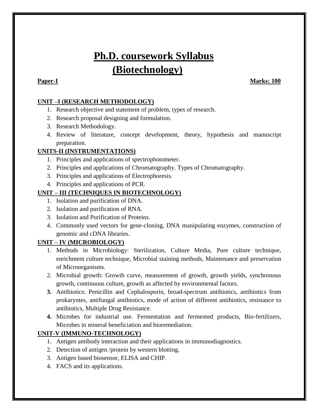## **Ph.D. coursework Syllabus (Biotechnology)**

**Paper-I** Marks: 100

### **UNIT –I (RESEARCH METHODOLOGY)**

- 1. Research objective and statement of problem, types of research.
- 2. Research proposal designing and formulation.
- 3. Research Methodology.
- 4. Review of literature, concept development, theory, hypothesis and manuscript preparation.

### **UNITS-II (INSTRUMENTATIONS)**

- 1. Principles and applications of spectrophotometer.
- 2. Principles and applications of Chromatography. Types of Chromatography.
- 3. Principles and applications of Electrophoresis.
- 4. Principles and applications of PCR.

### **UNIT – III (TECHNIQUES IN BIOTECHNOLOGY)**

- 1. Isolation and purification of DNA.
- 2. Isolation and purification of RNA.
- 3. Isolation and Purification of Proteins.
- 4. Commonly used vectors for gene-cloning, DNA manipulating enzymes, construction of genomic and cDNA libraries.

### **UNIT – IV (MICROBIOLOGY)**

- 1. Methods in Microbiology: Sterilization, Culture Media, Pure culture technique, enrichment culture technique, Microbial staining methods, Maintenance and preservation of Microorganisms.
- 2. Microbial growth: Growth curve, measurement of growth, growth yields, synchronous growth, continuous culture, growth as affected by environmental factors.
- **3.** Antibiotics: Penicillin and Cephalosporin, broad-spectrum antibiotics, antibiotics from prokaryotes, antifungal antibiotics, mode of action of different antibiotics, resistance to antibiotics, Multiple Drug Resistance.
- **4.** Microbes for industrial use. Fermentation and fermented products, Bio-fertilizers, Microbes in mineral beneficiation and bioremediation.

#### **UNIT-V (IMMUNO-TECHNOLOGY)**

- 1. Antigen antibody interaction and their applications in immunodiagnostics.
- 2. Detection of antigen /protein by western blotting.
- 3. Antigen based biosensor, ELISA and CHIP.
- 4. FACS and its applications.